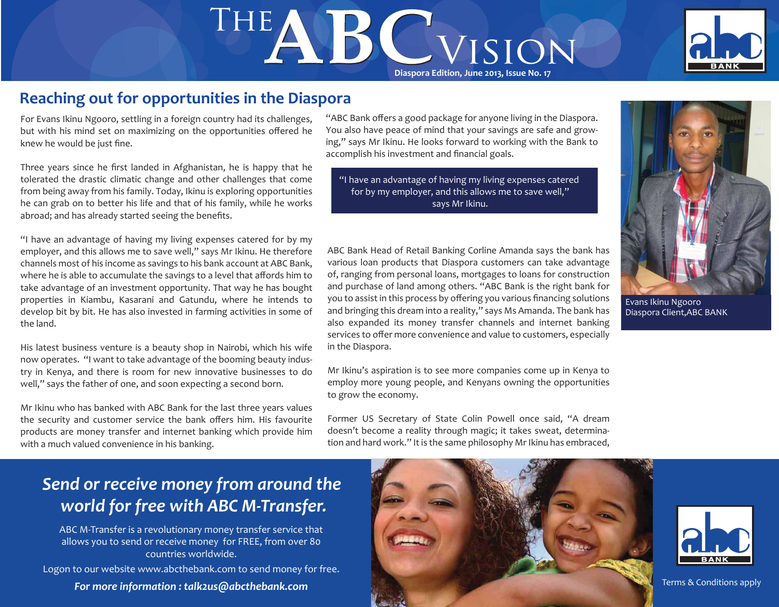# THE **B** C MS ON



# **Reaching out for opportunities in the Diaspora**

For Evans Ikinu Ngooro, settling in a foreign country had its challenges, but with his mind set on maximizing on the opportunities offered he knew he would be just fine.

Three years since he first landed in Afghanistan, he is happy that he tolerated the drastic climatic change and other challenges that come from being away from his family. Today, Ikinu is exploring opportunities he can grab on to better his life and that of his family, while he works abroad; and has already started seeing the benefits.

"I have an advantage of having my living expenses catered for by my employer, and this allows me to save well," says Mr Ikinu. He therefore channels most of his income as savings to his bank account at ABC Bank, where he is able to accumulate the savings to a level that affords him to take advantage of an investment opportunity. That way he has bought properties in Kiambu, Kasarani and Gatundu, where he intends to develop bit by bit. He has also invested in farming activities in some of the land.

His latest business venture is a beauty shop in Nairobi, which his wife now operates. "I want to take advantage of the booming beauty industry in Kenya, and there is room for new innovative businesses to do well," says the father of one, and soon expecting a second born.

Mr Ikinu who has banked with ABC Bank for the last three years values the security and customer service the bank offers him. His favourite products are money transfer and internet banking which provide him with a much valued convenience in his banking.

"ABC Bank offers a good package for anyone living in the Diaspora. You also have peace of mind that your savings are safe and growing," says Mr Ikinu. He looks forward to working with the Bank to accomplish his investment and financial goals.

"I have an advantage of having my living expenses catered for by my employer, and this allows me to save well," says Mr Ikinu.



Evans Ikinu Ngooro Diaspora Client,ABC BANK

ABC Bank Head of Retail Banking Corline Amanda says the bank has various loan products that Diaspora customers can take advantage of, ranging from personal loans, mortgages to loans for construction and purchase of land among others. "ABC Bank is the right bank for you to assist in this process by offering you various financing solutions and bringing this dream into a reality," says Ms Amanda. The bank has also expanded its money transfer channels and internet banking services to offer more convenience and value to customers, especially in the Diaspora.

Mr Ikinu's aspiration is to see more companies come up in Kenya to employ more young people, and Kenyans owning the opportunities to grow the economy.

Former US Secretary of State Colin Powell once said, "A dream doesn't become a reality through magic; it takes sweat, determination and hard work." It is the same philosophy Mr Ikinu has embraced,

# *Send or receive money from around the world for free with ABC M-Transfer.*

ABC M-Transfer is a revolutionary money transfer service that allows you to send or receive money for FREE, from over 80 countries worldwide.

Logon to our website www.abcthebank.com to send money for free.



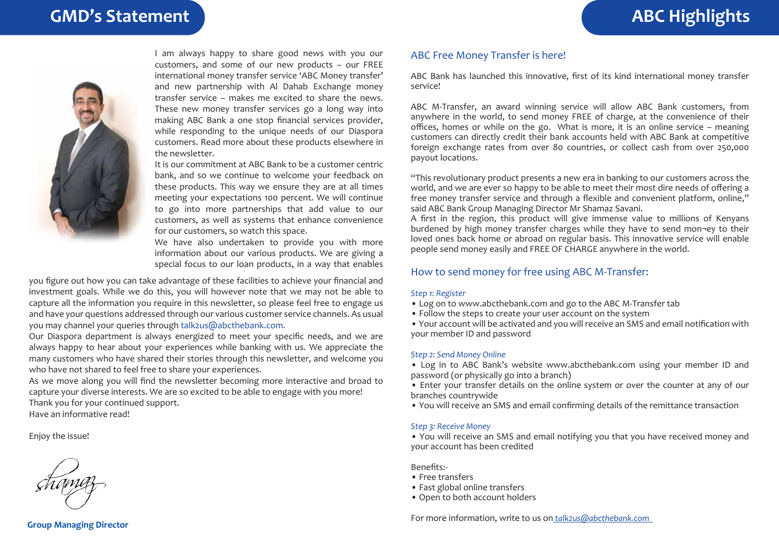

I am always happy to share good news with you our customers, and some of our new products – our FREE international money transfer service 'ABC Money transfer' and new partnership with Al Dahab Exchange money transfer service – makes me excited to share the news. These new money transfer services go a long way into making ABC Bank a one stop financial services provider, while responding to the unique needs of our Diaspora customers. Read more about these products elsewhere in the newsletter.

It is our commitment at ABC Bank to be a customer centric bank, and so we continue to welcome your feedback on these products. This way we ensure they are at all times meeting your expectations 100 percent. We will continue to go into more partnerships that add value to our customers, as well as systems that enhance convenience for our customers, so watch this space.

We have also undertaken to provide you with more information about our various products. We are giving a special focus to our loan products, in a way that enables

you figure out how you can take advantage of these facilities to achieve your financial and investment goals. While we do this, you will however note that we may not be able to capture all the information you require in this newsletter, so please feel free to engage us and have your questions addressed through our various customer service channels. As usual you may channel your queries through talk2us@abcthebank.com.

Our Diaspora department is always energized to meet your specific needs, and we are always happy to hear about your experiences while banking with us. We appreciate the many customers who have shared their stories through this newsletter, and welcome you who have not shared to feel free to share your experiences.

As we move along you will find the newsletter becoming more interactive and broad to capture your diverse interests. We are so excited to be able to engage with you more! Thank you for your continued support. Have an informative read!

Enjoy the issue!

ABC Bank has launched this innovative, first of its kind international money transfer service!

ABC M-Transfer, an award winning service will allow ABC Bank customers, from anywhere in the world, to send money FREE of charge, at the convenience of their offices, homes or while on the go. What is more, it is an online service – meaning customers can directly credit their bank accounts held with ABC Bank at competitive foreign exchange rates from over 80 countries, or collect cash from over 250,000 payout locations.

"This revolutionary product presents a new era in banking to our customers across the world, and we are ever so happy to be able to meet their most dire needs of offering a free money transfer service and through a flexible and convenient platform, online," said ABC Bank Group Managing Director Mr Shamaz Savani.

A first in the region, this product will give immense value to millions of Kenyans burdened by high money transfer charges while they have to send mon¬ey to their loved ones back home or abroad on regular basis. This innovative service will enable people send money easily and FREE OF CHARGE anywhere in the world.

### How to send money for free using ABC M-Transfer:

ABC Free Money Transfer is here!

### *Step 1: Register*

- Log on to www.abcthebank.com and go to the ABC M-Transfer tab
- Follow the steps to create your user account on the system

• Your account will be activated and you will receive an SMS and email notification with your member ID and password

### *Step 2: Send Money Online*

• Log in to ABC Bank's website www.abcthebank.com using your member ID and password (or physically go into a branch)

• Enter your transfer details on the online system or over the counter at any of our branches countrywide

• You will receive an SMS and email confirming details of the remittance transaction

### *Step 3: Receive Money*

• You will receive an SMS and email notifying you that you have received money and your account has been credited

Benefits:-

- Free transfers
- Fast global online transfers
- Open to both account holders

For more information, write to us on *talk2us@abcthebank.com* 

**Group Managing Director**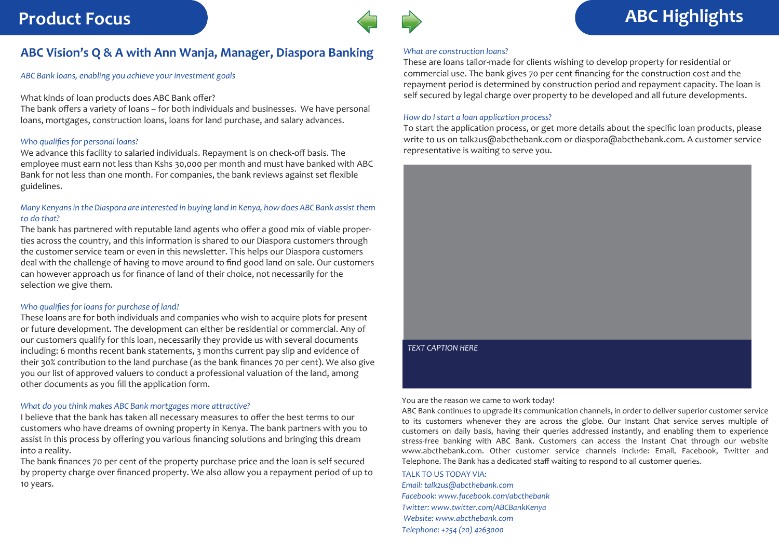### **ABC Vision's Q & A with Ann Wanja, Manager, Diaspora Banking**

*ABC Bank loans, enabling you achieve your investment goals*

### What kinds of loan products does ABC Bank offer?

The bank offers a variety of loans – for both individuals and businesses. We have personal loans, mortgages, construction loans, loans for land purchase, and salary advances.

### *Who qualifies for personal loans?*

We advance this facility to salaried individuals. Repayment is on check-off basis. The employee must earn not less than Kshs 30,000 per month and must have banked with ABC Bank for not less than one month. For companies, the bank reviews against set flexible guidelines.

### *Many Kenyans in the Diaspora are interested in buying land in Kenya, how does ABC Bank assist them to do that?*

The bank has partnered with reputable land agents who offer a good mix of viable properties across the country, and this information is shared to our Diaspora customers through the customer service team or even in this newsletter. This helps our Diaspora customers deal with the challenge of having to move around to find good land on sale. Our customers can however approach us for finance of land of their choice, not necessarily for the selection we give them.

### *Who qualifies for loans for purchase of land?*

These loans are for both individuals and companies who wish to acquire plots for present or future development. The development can either be residential or commercial. Any of our customers qualify for this loan, necessarily they provide us with several documents including: 6 months recent bank statements, 3 months current pay slip and evidence of their 30% contribution to the land purchase (as the bank finances 70 per cent). We also give you our list of approved valuers to conduct a professional valuation of the land, among other documents as you fill the application form.

### *What do you think makes ABC Bank mortgages more attractive?*

I believe that the bank has taken all necessary measures to offer the best terms to our customers who have dreams of owning property in Kenya. The bank partners with you to assist in this process by offering you various financing solutions and bringing this dream into a reality.

The bank finances 70 per cent of the property purchase price and the loan is self secured by property charge over financed property. We also allow you a repayment period of up to 10 years.



# **Product Focus ABC Highlights**

### *What are construction loans?*

These are loans tailor-made for clients wishing to develop property for residential or commercial use. The bank gives 70 per cent financing for the construction cost and the repayment period is determined by construction period and repayment capacity. The loan is self secured by legal charge over property to be developed and all future developments.

### *How do I start a loan application process?*

To start the application process, or get more details about the specific loan products, please write to us on talk2us@abcthebank.com or diaspora@abcthebank.com. A customer service representative is waiting to serve you.



### You are the reason we came to work today!

ABC Bank continues to upgrade its communication channels, in order to deliver superior customer service to its customers whenever they are across the globe. Our Instant Chat service serves multiple of customers on daily basis, having their queries addressed instantly, and enabling them to experience stress-free banking with ABC Bank. Customers can access the Instant Chat through our website www.abcthebank.com. Other customer service channels include: Email, Facebook, Twitter and *Dominical Component Component* Telephone. The Bank has a dedicated staff waiting to respond to all customer queries.<br>**ABC Bank is your** 

### TALK TO US TODAY VIA:

*Email: talk2us@abcthebank.com Facebook: www.facebook.com/abcthebank Twitter: www.twitter.com/ABCBankKenya Website: www.abcthebank.com Telephone: +254 (20) 4263000*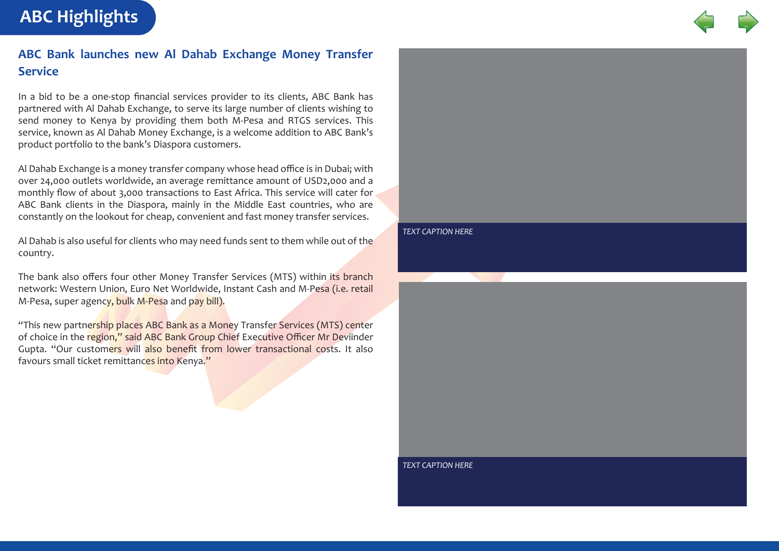**ABC Highlights**



# **ABC Bank launches new Al Dahab Exchange Money Transfer Service**

In a bid to be a one-stop financial services provider to its clients, ABC Bank has partnered with Al Dahab Exchange, to serve its large number of clients wishing to send money to Kenya by providing them both M-Pesa and RTGS services. This service, known as Al Dahab Money Exchange, is a welcome addition to ABC Bank's product portfolio to the bank's Diaspora customers.

Al Dahab Exchange is a money transfer company whose head office is in Dubai; with over 24,000 outlets worldwide, an average remittance amount of USD2,000 and a monthly flow of about 3,000 transactions to East Africa. This service will cater for ABC Bank clients in the Diaspora, mainly in the Middle East countries, who are constantly on the lookout for cheap, convenient and fast money transfer services.

Al Dahab is also useful for clients who may need funds sent to them while out of the country.

The bank also offers four other Money Transfer Services (MTS) within its branch network: Western Union, Euro Net Worldwide, Instant Cash and M-Pesa (i.e. retail M-Pesa, super agency, bulk M-Pesa and pay bill).

"This new partnership places ABC Bank as a Money Transfer Services (MTS) center of choice in the region," said ABC Bank Group Chief Executive Officer Mr Deviinder Gupta. "Our customers will also benefit from lower transactional costs. It also favours small ticket remittances into Kenya."



*TEXT CAPTION HERE*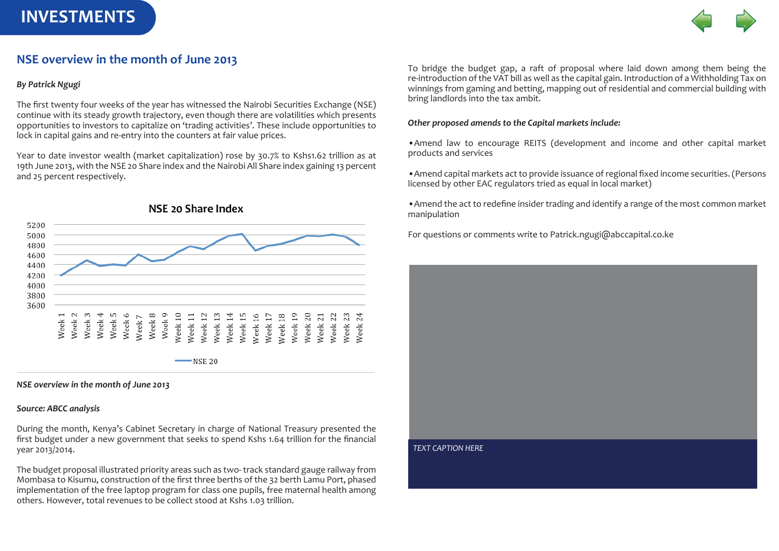# **INVESTMENTS**



# **NSE overview in the month of June 2013**

### *By Patrick Ngugi*

The first twenty four weeks of the year has witnessed the Nairobi Securities Exchange (NSE) continue with its steady growth trajectory, even though there are volatilities which presents opportunities to investors to capitalize on 'trading activities'. These include opportunities to lock in capital gains and re-entry into the counters at fair value prices.

Year to date investor wealth (market capitalization) rose by 30.7% to Kshs1.62 trillion as at 19th June 2013, with the NSE 20 Share index and the Nairobi All Share index gaining 13 percent and 25 percent respectively.



*NSE overview in the month of June 2013*

### *Source: ABCC analysis*

During the month, Kenya's Cabinet Secretary in charge of National Treasury presented the first budget under a new government that seeks to spend Kshs 1.64 trillion for the financial year 2013/2014.

The budget proposal illustrated priority areas such as two- track standard gauge railway from Mombasa to Kisumu, construction of the first three berths of the 32 berth Lamu Port, phased implementation of the free laptop program for class one pupils, free maternal health among others. However, total revenues to be collect stood at Kshs 1.03 trillion.

To bridge the budget gap, a raft of proposal where laid down among them being the re-introduction of the VAT bill as well as the capital gain. Introduction of a Withholding Tax on winnings from gaming and betting, mapping out of residential and commercial building with bring landlords into the tax ambit.

### *Other proposed amends to the Capital markets include:*

•Amend law to encourage REITS (development and income and other capital market products and services

•Amend capital markets act to provide issuance of regional fixed income securities. (Persons licensed by other EAC regulators tried as equal in local market)

•Amend the act to redefine insider trading and identify a range of the most common market manipulation

For questions or comments write to Patrick.ngugi@abccapital.co.ke

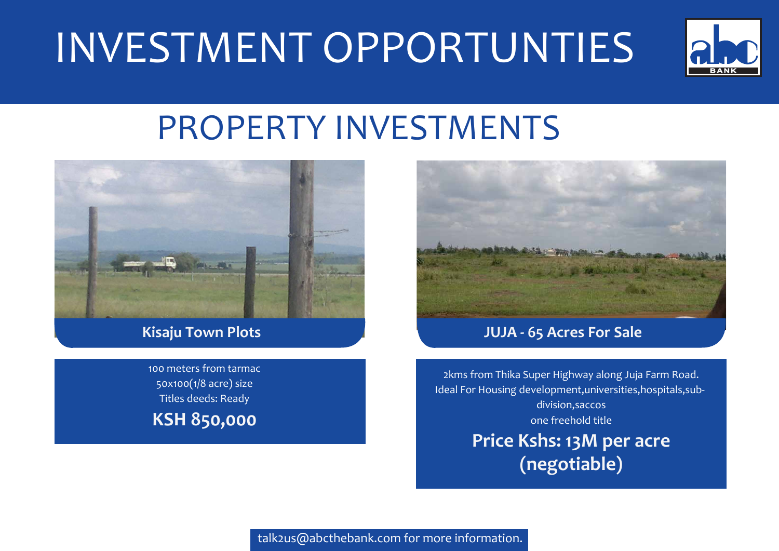# INVESTMENT OPPORTUNTIES



# PROPERTY INVESTMENTS



100 meters from tarmac 50x100(1/8 acre) size Titles deeds: Ready **KSH 850,000**



# **Kisaju Town Plots JUJA - 65 Acres For Sale**

2kms from Thika Super Highway along Juja Farm Road. Ideal For Housing development,universities,hospitals,subdivision,saccos one freehold title

> **Price Kshs: 13M per acre (negotiable)**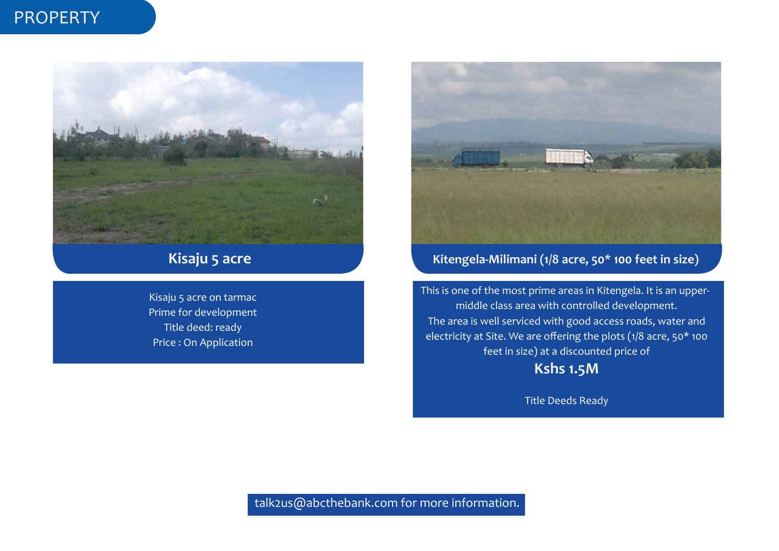# PROPERTY



# **Kisaju 5 acre**

Kisaju 5 acre on tarmac Prime for development Title deed: ready Price : On Application



# **Kitengela-Milimani (1/8 acre, 50\* 100 feet in size)**

This is one of the most prime areas in Kitengela. It is an uppermiddle class area with controlled development. The area is well serviced with good access roads, water and electricity at Site. We are offering the plots (1/8 acre, 50\* 100 feet in size) at a discounted price of **Kshs 1.5M**

Title Deeds Ready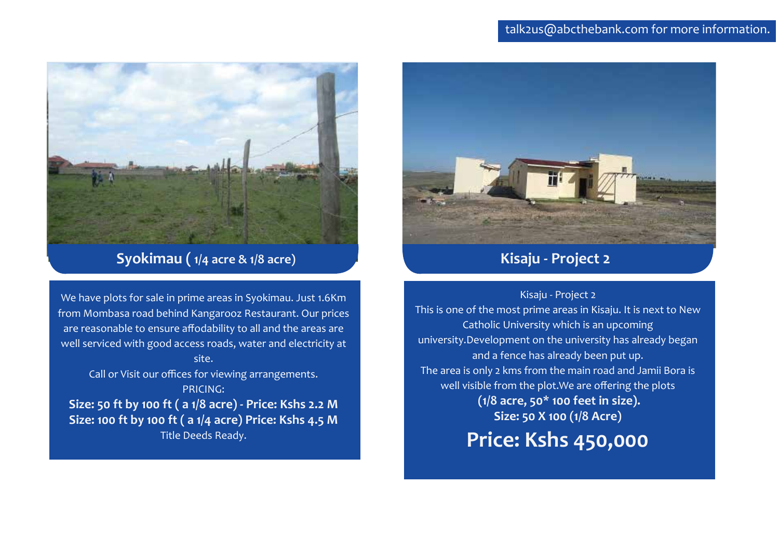

# **Syokimau ( 1/4 acre & 1/8 acre)**

We have plots for sale in prime areas in Syokimau. Just 1.6Km from Mombasa road behind Kangarooz Restaurant. Our prices are reasonable to ensure affodability to all and the areas are well serviced with good access roads, water and electricity at site. Call or Visit our offices for viewing arrangements.

PRICING: **Size: 50 ft by 100 ft ( a 1/8 acre) - Price: Kshs 2.2 M Size: 100 ft by 100 ft ( a 1/4 acre) Price: Kshs 4.5 M** 

Title Deeds Ready.



# **Kisaju - Project 2**

Kisaju - Project 2

This is one of the most prime areas in Kisaju. It is next to New Catholic University which is an upcoming university.Development on the university has already began and a fence has already been put up. The area is only 2 kms from the main road and Jamii Bora is well visible from the plot.We are offering the plots  **(1/8 acre, 50\* 100 feet in size). Size: 50 X 100 (1/8 Acre)** 

**Price: Kshs 450,000**